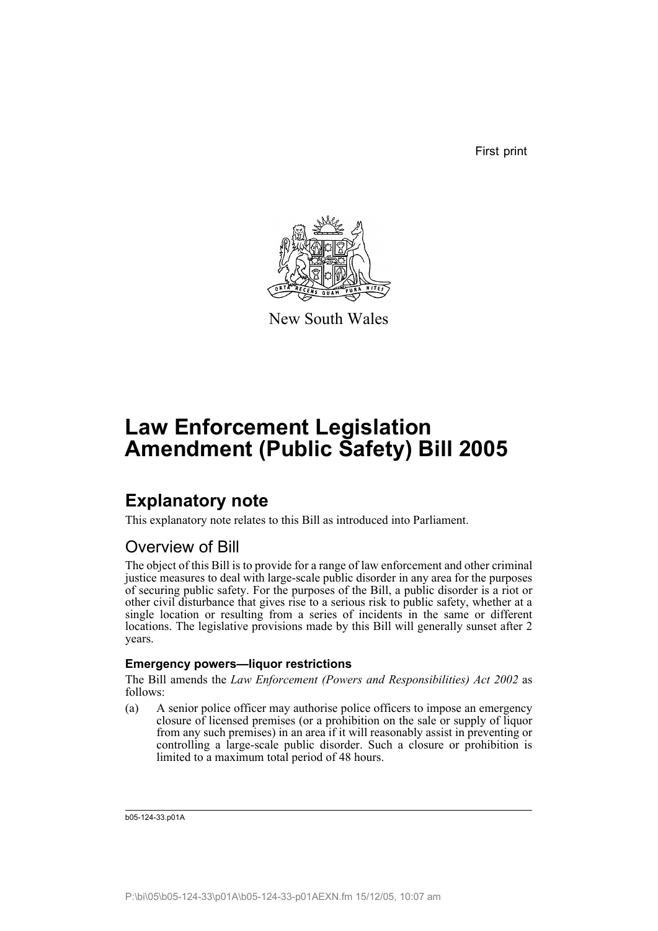First print



New South Wales

# **Law Enforcement Legislation Amendment (Public Safety) Bill 2005**

# **Explanatory note**

This explanatory note relates to this Bill as introduced into Parliament.

# Overview of Bill

The object of this Bill is to provide for a range of law enforcement and other criminal justice measures to deal with large-scale public disorder in any area for the purposes of securing public safety. For the purposes of the Bill, a public disorder is a riot or other civil disturbance that gives rise to a serious risk to public safety, whether at a single location or resulting from a series of incidents in the same or different locations. The legislative provisions made by this Bill will generally sunset after 2 years.

# **Emergency powers—liquor restrictions**

The Bill amends the *Law Enforcement (Powers and Responsibilities) Act 2002* as follows:

(a) A senior police officer may authorise police officers to impose an emergency closure of licensed premises (or a prohibition on the sale or supply of liquor from any such premises) in an area if it will reasonably assist in preventing or controlling a large-scale public disorder. Such a closure or prohibition is limited to a maximum total period of 48 hours.

b05-124-33.p01A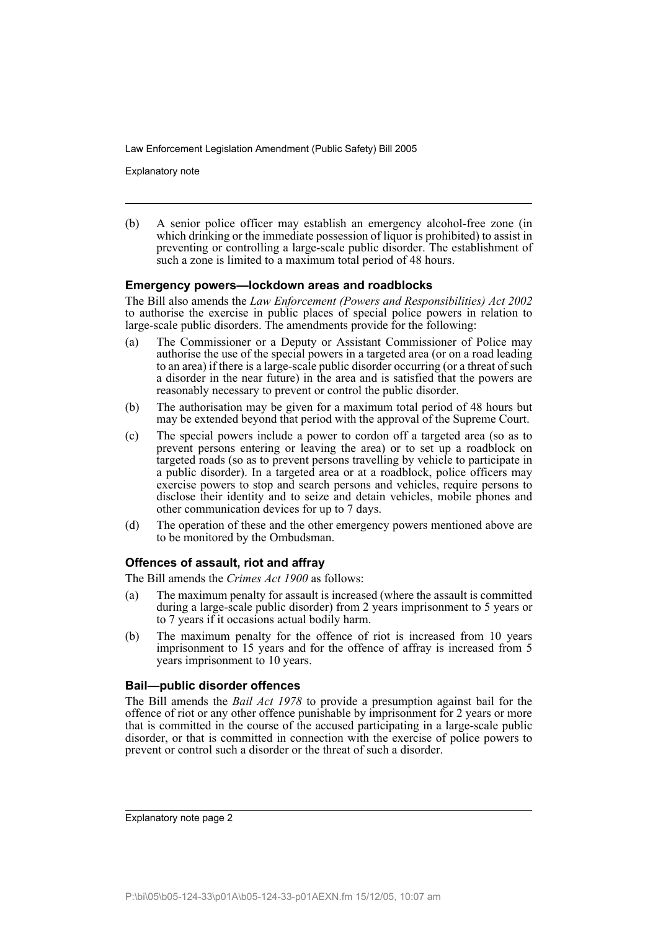Explanatory note

(b) A senior police officer may establish an emergency alcohol-free zone (in which drinking or the immediate possession of liquor is prohibited) to assist in preventing or controlling a large-scale public disorder. The establishment of such a zone is limited to a maximum total period of 48 hours.

## **Emergency powers—lockdown areas and roadblocks**

The Bill also amends the *Law Enforcement (Powers and Responsibilities) Act 2002* to authorise the exercise in public places of special police powers in relation to large-scale public disorders. The amendments provide for the following:

- (a) The Commissioner or a Deputy or Assistant Commissioner of Police may authorise the use of the special powers in a targeted area (or on a road leading to an area) if there is a large-scale public disorder occurring (or a threat of such a disorder in the near future) in the area and is satisfied that the powers are reasonably necessary to prevent or control the public disorder.
- (b) The authorisation may be given for a maximum total period of 48 hours but may be extended beyond that period with the approval of the Supreme Court.
- (c) The special powers include a power to cordon off a targeted area (so as to prevent persons entering or leaving the area) or to set up a roadblock on targeted roads (so as to prevent persons travelling by vehicle to participate in a public disorder). In a targeted area or at a roadblock, police officers may exercise powers to stop and search persons and vehicles, require persons to disclose their identity and to seize and detain vehicles, mobile phones and other communication devices for up to 7 days.
- (d) The operation of these and the other emergency powers mentioned above are to be monitored by the Ombudsman.

## **Offences of assault, riot and affray**

The Bill amends the *Crimes Act 1900* as follows:

- (a) The maximum penalty for assault is increased (where the assault is committed during a large-scale public disorder) from 2 years imprisonment to 5 years or to 7 years if it occasions actual bodily harm.
- (b) The maximum penalty for the offence of riot is increased from 10 years imprisonment to 15 years and for the offence of affray is increased from 5 years imprisonment to 10 years.

## **Bail—public disorder offences**

The Bill amends the *Bail Act 1978* to provide a presumption against bail for the offence of riot or any other offence punishable by imprisonment for 2 years or more that is committed in the course of the accused participating in a large-scale public disorder, or that is committed in connection with the exercise of police powers to prevent or control such a disorder or the threat of such a disorder.

Explanatory note page 2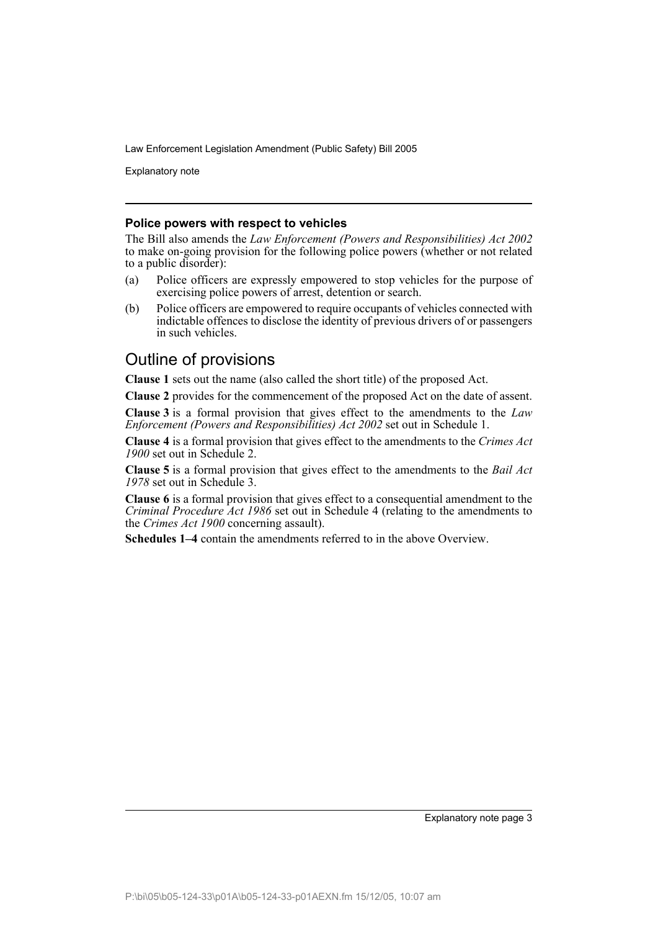Explanatory note

### **Police powers with respect to vehicles**

The Bill also amends the *Law Enforcement (Powers and Responsibilities) Act 2002* to make on-going provision for the following police powers (whether or not related to a public disorder):

- (a) Police officers are expressly empowered to stop vehicles for the purpose of exercising police powers of arrest, detention or search.
- (b) Police officers are empowered to require occupants of vehicles connected with indictable offences to disclose the identity of previous drivers of or passengers in such vehicles.

# Outline of provisions

**Clause 1** sets out the name (also called the short title) of the proposed Act.

**Clause 2** provides for the commencement of the proposed Act on the date of assent.

**Clause 3** is a formal provision that gives effect to the amendments to the *Law Enforcement (Powers and Responsibilities) Act 2002* set out in Schedule 1.

**Clause 4** is a formal provision that gives effect to the amendments to the *Crimes Act 1900* set out in Schedule 2.

**Clause 5** is a formal provision that gives effect to the amendments to the *Bail Act 1978* set out in Schedule 3.

**Clause 6** is a formal provision that gives effect to a consequential amendment to the *Criminal Procedure Act 1986* set out in Schedule 4 (relating to the amendments to the *Crimes Act 1900* concerning assault).

**Schedules 1–4** contain the amendments referred to in the above Overview.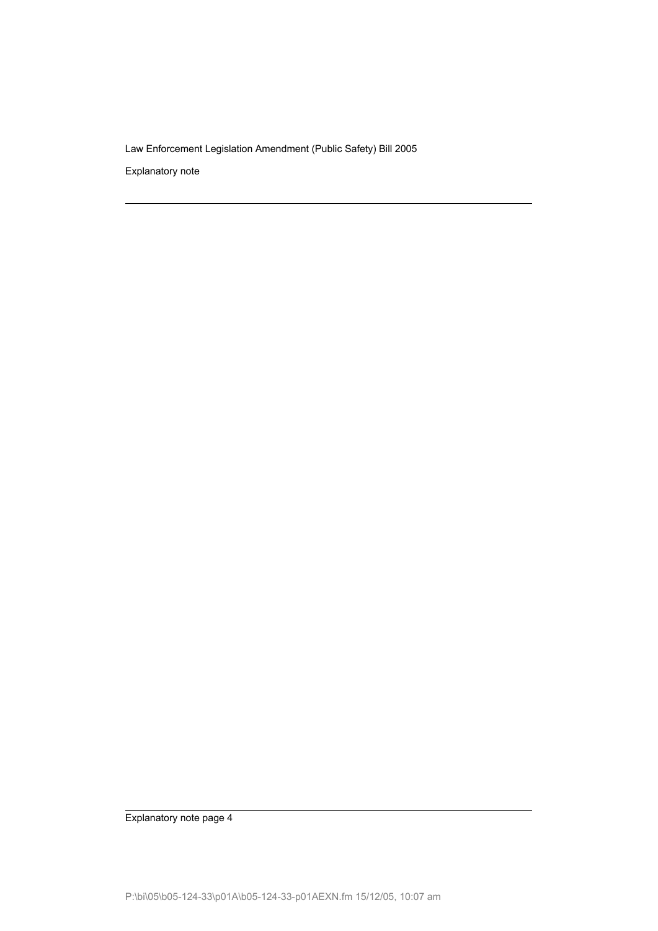Explanatory note

Explanatory note page 4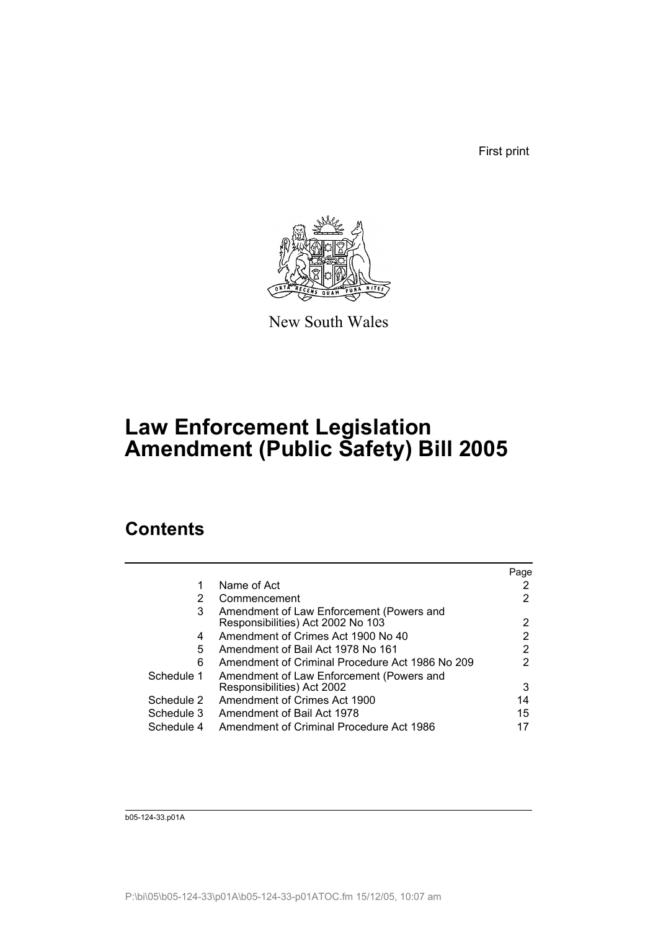First print



New South Wales

# **Law Enforcement Legislation Amendment (Public Safety) Bill 2005**

# **Contents**

|            |                                                 | Page |
|------------|-------------------------------------------------|------|
| 1          | Name of Act                                     |      |
| 2          | Commencement                                    |      |
| 3          | Amendment of Law Enforcement (Powers and        |      |
|            | Responsibilities) Act 2002 No 103               | 2    |
| 4          | Amendment of Crimes Act 1900 No 40              | 2    |
| 5          | Amendment of Bail Act 1978 No 161               | 2    |
| 6          | Amendment of Criminal Procedure Act 1986 No 209 |      |
| Schedule 1 | Amendment of Law Enforcement (Powers and        |      |
|            | Responsibilities) Act 2002                      | 3    |
| Schedule 2 | Amendment of Crimes Act 1900                    | 14   |
| Schedule 3 | Amendment of Bail Act 1978                      | 15   |
| Schedule 4 | Amendment of Criminal Procedure Act 1986        |      |

b05-124-33.p01A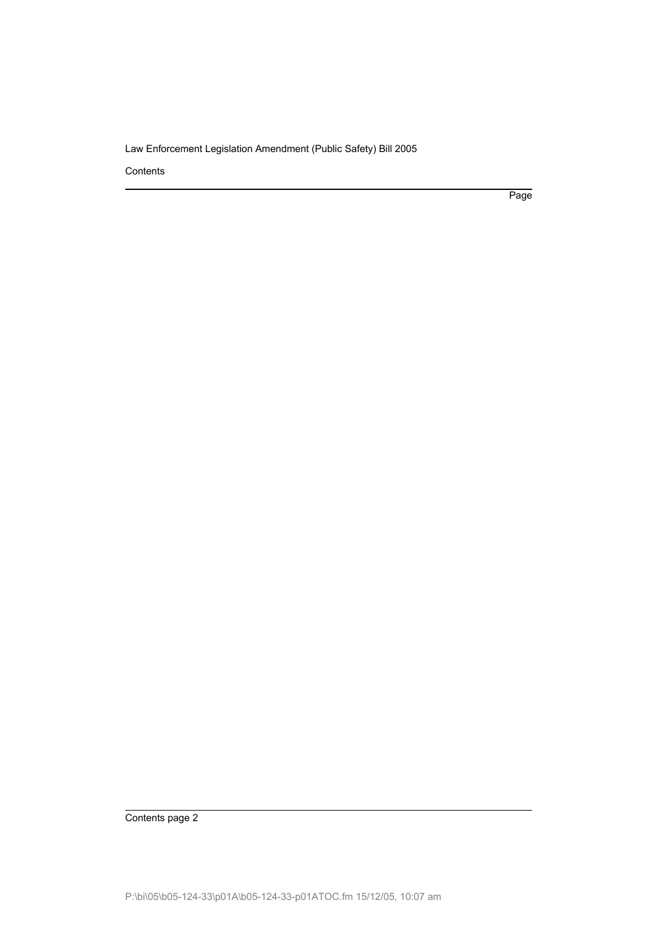Contents

Page

Contents page 2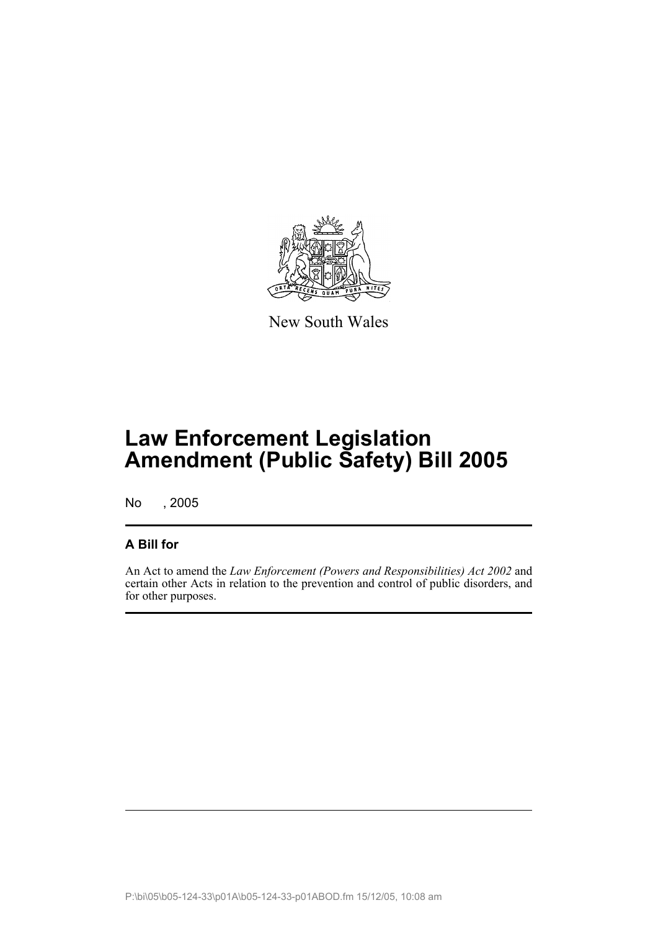

New South Wales

# **Law Enforcement Legislation Amendment (Public Safety) Bill 2005**

No , 2005

# **A Bill for**

An Act to amend the *Law Enforcement (Powers and Responsibilities) Act 2002* and certain other Acts in relation to the prevention and control of public disorders, and for other purposes.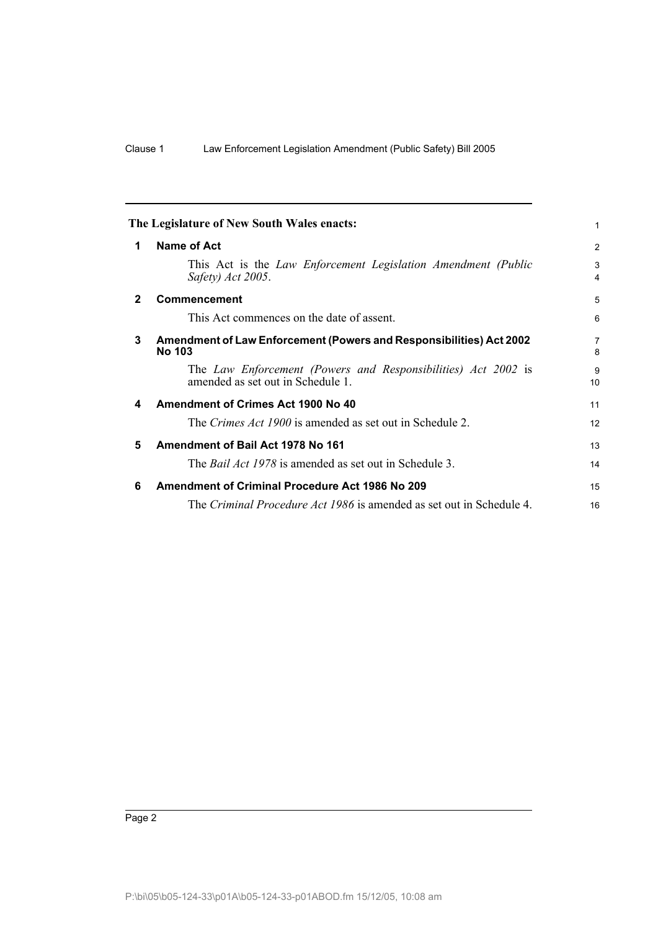|              | The Legislature of New South Wales enacts:                                                         | 1              |
|--------------|----------------------------------------------------------------------------------------------------|----------------|
| 1            | Name of Act                                                                                        | $\overline{2}$ |
|              | This Act is the Law Enforcement Legislation Amendment (Public<br>Safety) Act 2005.                 | 3<br>4         |
| $\mathbf{2}$ | <b>Commencement</b>                                                                                | 5              |
|              | This Act commences on the date of assent.                                                          | 6              |
| 3            | Amendment of Law Enforcement (Powers and Responsibilities) Act 2002<br><b>No 103</b>               | 7<br>8         |
|              | The Law Enforcement (Powers and Responsibilities) Act 2002 is<br>amended as set out in Schedule 1. | 9<br>10        |
| 4            | Amendment of Crimes Act 1900 No 40                                                                 | 11             |
|              | The <i>Crimes Act 1900</i> is amended as set out in Schedule 2.                                    | 12             |
| 5            | Amendment of Bail Act 1978 No 161                                                                  | 13             |
|              | The <i>Bail Act 1978</i> is amended as set out in Schedule 3.                                      | 14             |
| 6            | <b>Amendment of Criminal Procedure Act 1986 No 209</b>                                             | 15             |
|              | The <i>Criminal Procedure Act 1986</i> is amended as set out in Schedule 4.                        | 16             |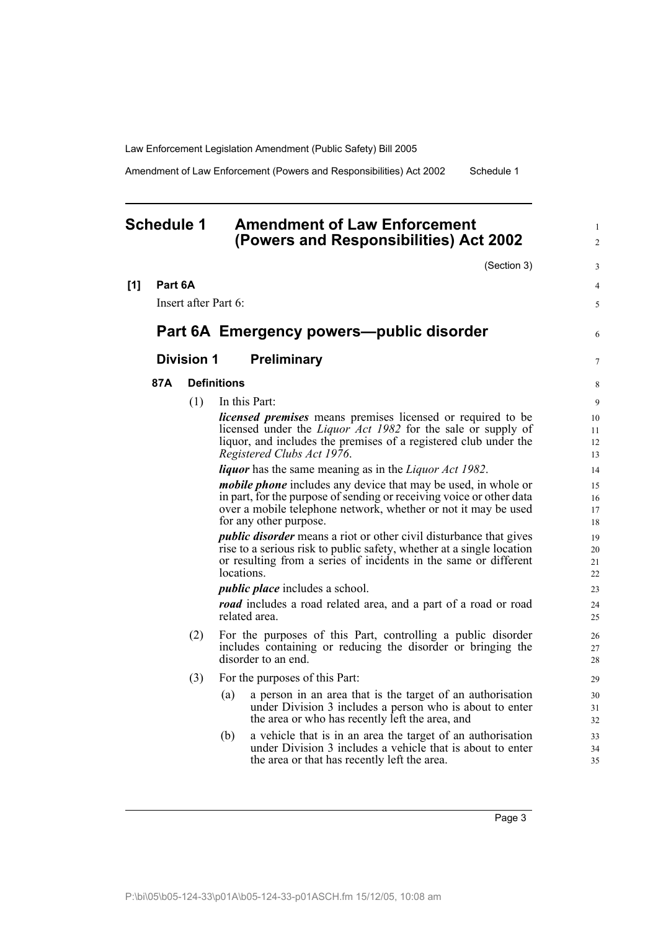Amendment of Law Enforcement (Powers and Responsibilities) Act 2002 Schedule 1

# **Schedule 1 Amendment of Law Enforcement (Powers and Responsibilities) Act 2002**

(Section 3)

1  $\mathfrak{Z}$ 

3 4 5

6

7

**[1] Part 6A**

Insert after Part 6:

# **Part 6A Emergency powers—public disorder**

## **Division 1 Preliminary**

#### **87A Definitions**

(1) In this Part:

*licensed premises* means premises licensed or required to be licensed under the *Liquor Act 1982* for the sale or supply of liquor, and includes the premises of a registered club under the *Registered Clubs Act 1976*.

*liquor* has the same meaning as in the *Liquor Act 1982*.

*mobile phone* includes any device that may be used, in whole or in part, for the purpose of sending or receiving voice or other data over a mobile telephone network, whether or not it may be used for any other purpose.

*public disorder* means a riot or other civil disturbance that gives rise to a serious risk to public safety, whether at a single location or resulting from a series of incidents in the same or different locations.

*public place* includes a school.

*road* includes a road related area, and a part of a road or road related area.

- (2) For the purposes of this Part, controlling a public disorder includes containing or reducing the disorder or bringing the disorder to an end.
- (3) For the purposes of this Part:
	- (a) a person in an area that is the target of an authorisation under Division 3 includes a person who is about to enter the area or who has recently left the area, and
	- (b) a vehicle that is in an area the target of an authorisation under Division 3 includes a vehicle that is about to enter the area or that has recently left the area.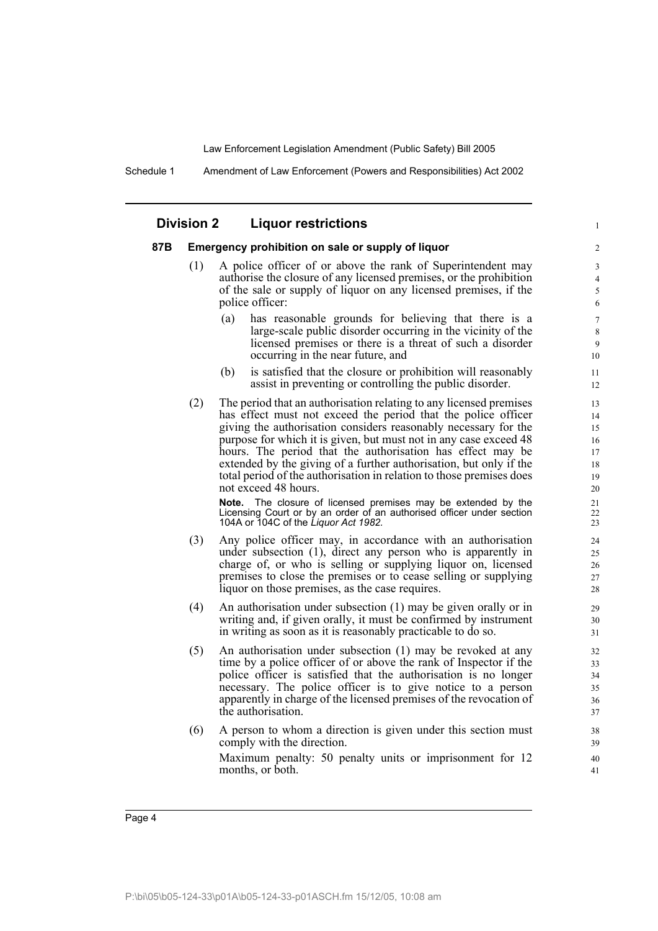Schedule 1 Amendment of Law Enforcement (Powers and Responsibilities) Act 2002

### **Division 2 Liquor restrictions**

#### **87B Emergency prohibition on sale or supply of liquor**

- A police officer of or above the rank of Superintendent may authorise the closure of any licensed premises, or the prohibition of the sale or supply of liquor on any licensed premises, if the police officer:
	- (a) has reasonable grounds for believing that there is a large-scale public disorder occurring in the vicinity of the licensed premises or there is a threat of such a disorder occurring in the near future, and

1

- (b) is satisfied that the closure or prohibition will reasonably assist in preventing or controlling the public disorder.
- (2) The period that an authorisation relating to any licensed premises has effect must not exceed the period that the police officer giving the authorisation considers reasonably necessary for the purpose for which it is given, but must not in any case exceed 48 hours. The period that the authorisation has effect may be extended by the giving of a further authorisation, but only if the total period of the authorisation in relation to those premises does not exceed 48 hours.

**Note.** The closure of licensed premises may be extended by the Licensing Court or by an order of an authorised officer under section 104A or 104C of the *Liquor Act 1982.*

- (3) Any police officer may, in accordance with an authorisation under subsection (1), direct any person who is apparently in charge of, or who is selling or supplying liquor on, licensed premises to close the premises or to cease selling or supplying liquor on those premises, as the case requires.
- (4) An authorisation under subsection (1) may be given orally or in writing and, if given orally, it must be confirmed by instrument in writing as soon as it is reasonably practicable to do so.
- (5) An authorisation under subsection (1) may be revoked at any time by a police officer of or above the rank of Inspector if the police officer is satisfied that the authorisation is no longer necessary. The police officer is to give notice to a person apparently in charge of the licensed premises of the revocation of the authorisation.
- (6) A person to whom a direction is given under this section must comply with the direction.

Maximum penalty: 50 penalty units or imprisonment for 12 months, or both.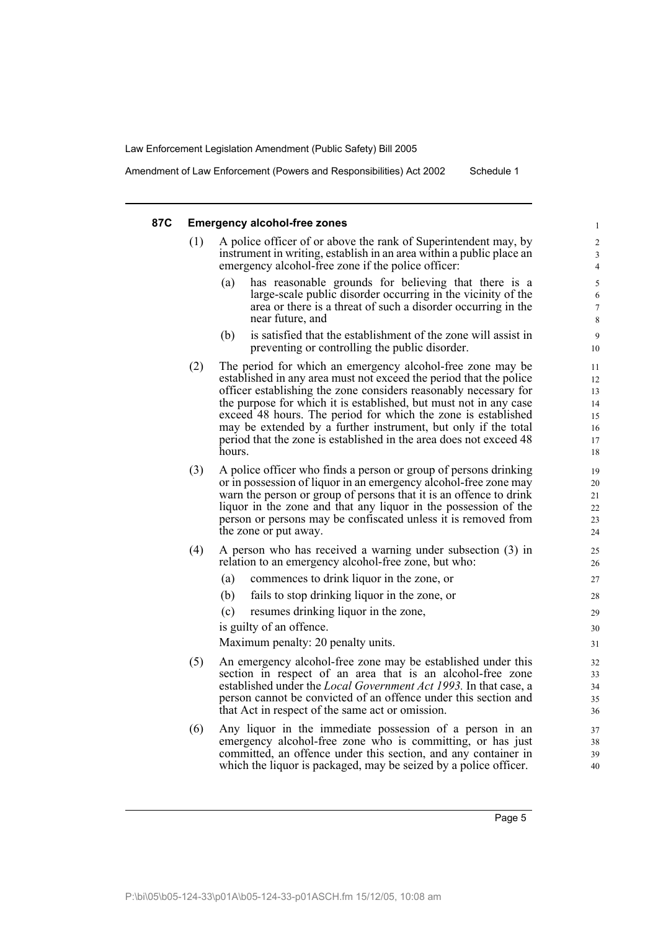Amendment of Law Enforcement (Powers and Responsibilities) Act 2002 Schedule 1

#### **87C Emergency alcohol-free zones**

- (1) A police officer of or above the rank of Superintendent may, by instrument in writing, establish in an area within a public place an emergency alcohol-free zone if the police officer:
	- (a) has reasonable grounds for believing that there is a large-scale public disorder occurring in the vicinity of the area or there is a threat of such a disorder occurring in the near future, and
	- (b) is satisfied that the establishment of the zone will assist in preventing or controlling the public disorder.
- (2) The period for which an emergency alcohol-free zone may be established in any area must not exceed the period that the police officer establishing the zone considers reasonably necessary for the purpose for which it is established, but must not in any case exceed 48 hours. The period for which the zone is established may be extended by a further instrument, but only if the total period that the zone is established in the area does not exceed 48 hours.
- (3) A police officer who finds a person or group of persons drinking or in possession of liquor in an emergency alcohol-free zone may warn the person or group of persons that it is an offence to drink liquor in the zone and that any liquor in the possession of the person or persons may be confiscated unless it is removed from the zone or put away.
- (4) A person who has received a warning under subsection (3) in relation to an emergency alcohol-free zone, but who:
	- (a) commences to drink liquor in the zone, or
	- (b) fails to stop drinking liquor in the zone, or
	- (c) resumes drinking liquor in the zone,

is guilty of an offence.

Maximum penalty: 20 penalty units.

- (5) An emergency alcohol-free zone may be established under this section in respect of an area that is an alcohol-free zone established under the *Local Government Act 1993.* In that case, a person cannot be convicted of an offence under this section and that Act in respect of the same act or omission.
- (6) Any liquor in the immediate possession of a person in an emergency alcohol-free zone who is committing, or has just committed, an offence under this section, and any container in which the liquor is packaged, may be seized by a police officer.

Page 5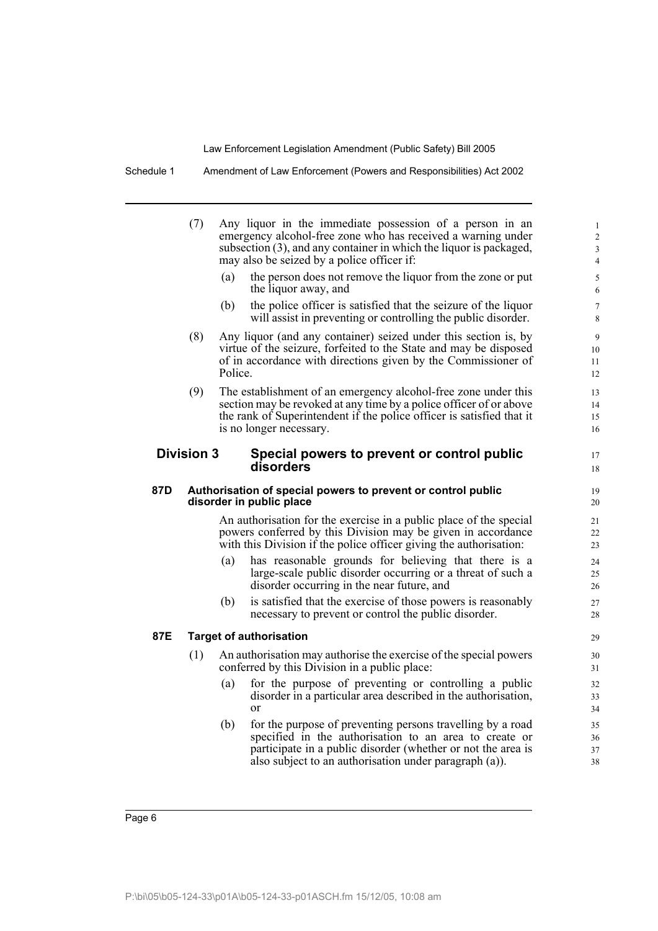Schedule 1 Amendment of Law Enforcement (Powers and Responsibilities) Act 2002

- (7) Any liquor in the immediate possession of a person in an emergency alcohol-free zone who has received a warning under subsection (3), and any container in which the liquor is packaged, may also be seized by a police officer if:
	- (a) the person does not remove the liquor from the zone or put the liquor away, and

17 18

- (b) the police officer is satisfied that the seizure of the liquor will assist in preventing or controlling the public disorder.
- (8) Any liquor (and any container) seized under this section is, by virtue of the seizure, forfeited to the State and may be disposed of in accordance with directions given by the Commissioner of Police.
- (9) The establishment of an emergency alcohol-free zone under this section may be revoked at any time by a police officer of or above the rank of Superintendent if the police officer is satisfied that it is no longer necessary.
- **Division 3 Special powers to prevent or control public disorders**

#### **87D Authorisation of special powers to prevent or control public disorder in public place**

An authorisation for the exercise in a public place of the special powers conferred by this Division may be given in accordance with this Division if the police officer giving the authorisation:

- (a) has reasonable grounds for believing that there is a large-scale public disorder occurring or a threat of such a disorder occurring in the near future, and
- (b) is satisfied that the exercise of those powers is reasonably necessary to prevent or control the public disorder.

#### **87E Target of authorisation**

- (1) An authorisation may authorise the exercise of the special powers conferred by this Division in a public place:
	- (a) for the purpose of preventing or controlling a public disorder in a particular area described in the authorisation, or
	- (b) for the purpose of preventing persons travelling by a road specified in the authorisation to an area to create or participate in a public disorder (whether or not the area is also subject to an authorisation under paragraph (a)).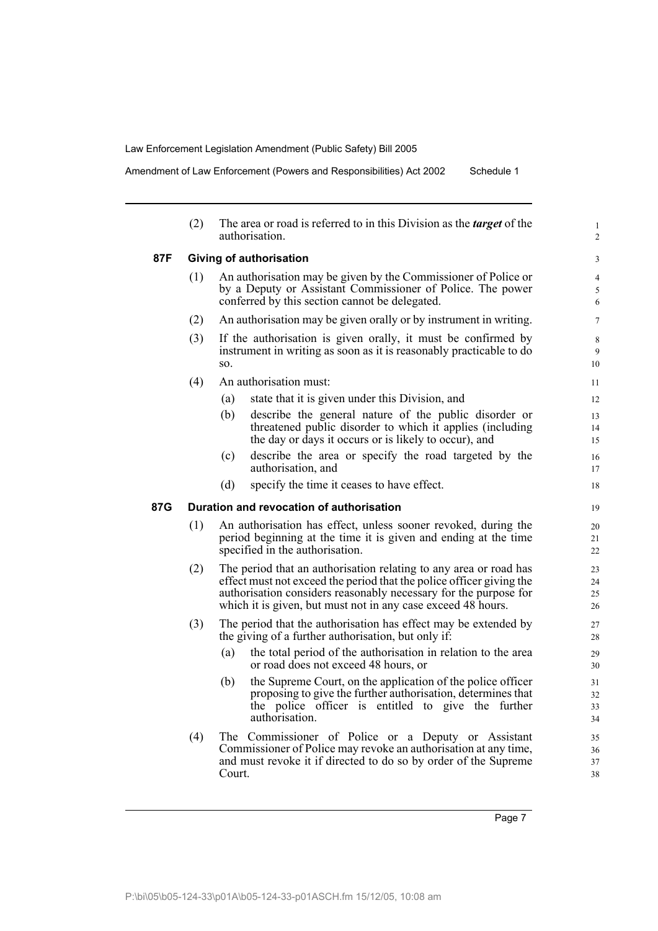Amendment of Law Enforcement (Powers and Responsibilities) Act 2002 Schedule 1

|     | (2)                                      |                                                                | The area or road is referred to in this Division as the <i>target</i> of the<br>authorisation.                                           | $\mathbf{1}$<br>2 |  |  |
|-----|------------------------------------------|----------------------------------------------------------------|------------------------------------------------------------------------------------------------------------------------------------------|-------------------|--|--|
| 87F | Giving of authorisation                  |                                                                |                                                                                                                                          |                   |  |  |
|     | (1)                                      | An authorisation may be given by the Commissioner of Police or |                                                                                                                                          |                   |  |  |
|     |                                          | by a Deputy or Assistant Commissioner of Police. The power     |                                                                                                                                          |                   |  |  |
|     |                                          |                                                                | conferred by this section cannot be delegated.                                                                                           | 6                 |  |  |
|     | (2)                                      |                                                                | An authorisation may be given orally or by instrument in writing.                                                                        | $\tau$            |  |  |
|     | (3)                                      |                                                                | If the authorisation is given orally, it must be confirmed by                                                                            | $\,8\,$           |  |  |
|     |                                          |                                                                | instrument in writing as soon as it is reasonably practicable to do                                                                      | 9                 |  |  |
|     |                                          | SO.                                                            |                                                                                                                                          | 10                |  |  |
|     | (4)                                      |                                                                | An authorisation must:                                                                                                                   | 11                |  |  |
|     |                                          | (a)                                                            | state that it is given under this Division, and                                                                                          | 12                |  |  |
|     |                                          | (b)                                                            | describe the general nature of the public disorder or                                                                                    | 13                |  |  |
|     |                                          |                                                                | threatened public disorder to which it applies (including<br>the day or days it occurs or is likely to occur), and                       | 14<br>15          |  |  |
|     |                                          | (c)                                                            | describe the area or specify the road targeted by the                                                                                    | 16                |  |  |
|     |                                          |                                                                | authorisation, and                                                                                                                       | 17                |  |  |
|     |                                          | (d)                                                            | specify the time it ceases to have effect.                                                                                               | 18                |  |  |
| 87G | Duration and revocation of authorisation |                                                                |                                                                                                                                          |                   |  |  |
|     | (1)                                      | An authorisation has effect, unless sooner revoked, during the |                                                                                                                                          | 20                |  |  |
|     |                                          |                                                                | period beginning at the time it is given and ending at the time                                                                          | 21                |  |  |
|     |                                          |                                                                | specified in the authorisation.                                                                                                          | 22                |  |  |
|     | (2)                                      |                                                                | The period that an authorisation relating to any area or road has                                                                        | 23                |  |  |
|     |                                          |                                                                | effect must not exceed the period that the police officer giving the<br>authorisation considers reasonably necessary for the purpose for | 24<br>25          |  |  |
|     |                                          |                                                                | which it is given, but must not in any case exceed 48 hours.                                                                             | 26                |  |  |
|     | (3)                                      |                                                                | The period that the authorisation has effect may be extended by                                                                          | 27                |  |  |
|     |                                          |                                                                | the giving of a further authorisation, but only if:                                                                                      | 28                |  |  |
|     |                                          | (a)                                                            | the total period of the authorisation in relation to the area                                                                            | 29                |  |  |
|     |                                          |                                                                | or road does not exceed 48 hours, or                                                                                                     | 30                |  |  |
|     |                                          | (b)                                                            | the Supreme Court, on the application of the police officer                                                                              | 31                |  |  |
|     |                                          |                                                                | proposing to give the further authorisation, determines that                                                                             | 32                |  |  |
|     |                                          |                                                                | the police officer is entitled to give the further<br>authorisation.                                                                     | 33<br>34          |  |  |
|     | (4)                                      |                                                                | The Commissioner of Police or a Deputy or Assistant                                                                                      | 35                |  |  |
|     |                                          |                                                                | Commissioner of Police may revoke an authorisation at any time,                                                                          | 36                |  |  |
|     |                                          |                                                                | and must revoke it if directed to do so by order of the Supreme                                                                          | 37                |  |  |
|     |                                          | Court.                                                         |                                                                                                                                          | 38                |  |  |
|     |                                          |                                                                |                                                                                                                                          |                   |  |  |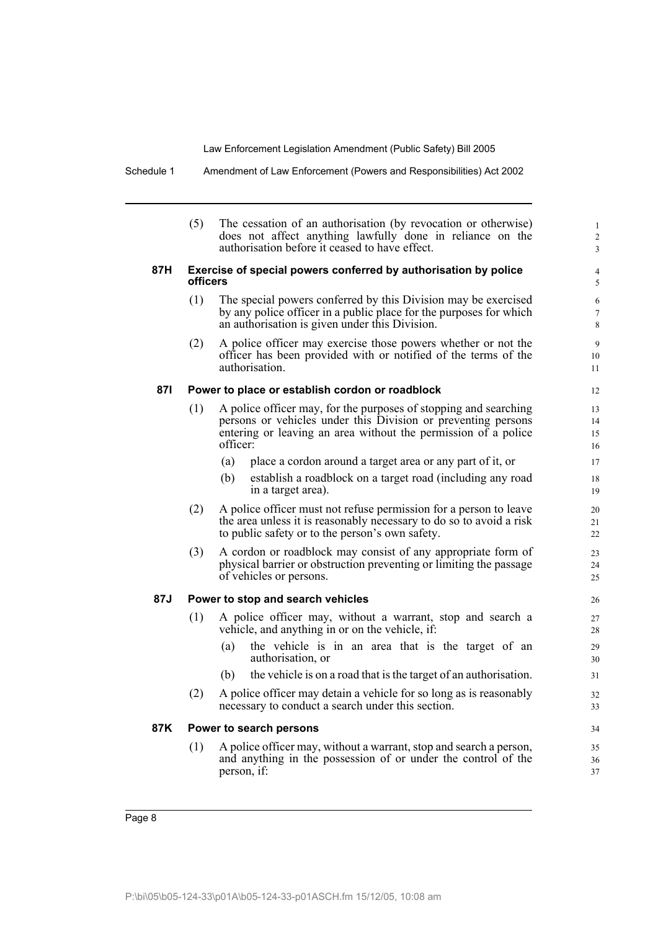Schedule 1 Amendment of Law Enforcement (Powers and Responsibilities) Act 2002

(5) The cessation of an authorisation (by revocation or otherwise) does not affect anything lawfully done in reliance on the authorisation before it ceased to have effect.

#### **87H Exercise of special powers conferred by authorisation by police officers**

- (1) The special powers conferred by this Division may be exercised by any police officer in a public place for the purposes for which an authorisation is given under this Division.
- (2) A police officer may exercise those powers whether or not the officer has been provided with or notified of the terms of the authorisation.

#### **87I Power to place or establish cordon or roadblock**

- (1) A police officer may, for the purposes of stopping and searching persons or vehicles under this Division or preventing persons entering or leaving an area without the permission of a police officer:
	- (a) place a cordon around a target area or any part of it, or
	- (b) establish a roadblock on a target road (including any road in a target area).
- (2) A police officer must not refuse permission for a person to leave the area unless it is reasonably necessary to do so to avoid a risk to public safety or to the person's own safety.
- (3) A cordon or roadblock may consist of any appropriate form of physical barrier or obstruction preventing or limiting the passage of vehicles or persons.

#### **87J Power to stop and search vehicles**

- (1) A police officer may, without a warrant, stop and search a vehicle, and anything in or on the vehicle, if:
	- (a) the vehicle is in an area that is the target of an authorisation, or
	- (b) the vehicle is on a road that is the target of an authorisation.
- (2) A police officer may detain a vehicle for so long as is reasonably necessary to conduct a search under this section.

#### **87K Power to search persons**

(1) A police officer may, without a warrant, stop and search a person, and anything in the possession of or under the control of the person, if: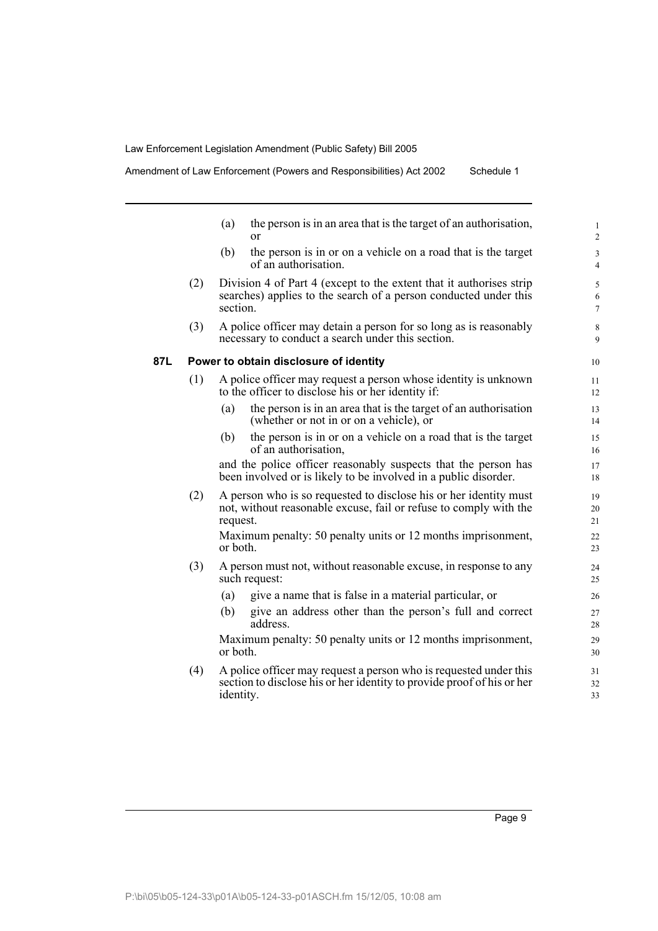|     |     | (a)       | the person is in an area that is the target of an authorisation,<br>or                                                                      | $\mathbf{1}$<br>$\sqrt{2}$      |
|-----|-----|-----------|---------------------------------------------------------------------------------------------------------------------------------------------|---------------------------------|
|     |     | (b)       | the person is in or on a vehicle on a road that is the target<br>of an authorisation.                                                       | $\mathfrak z$<br>$\overline{4}$ |
|     | (2) | section.  | Division 4 of Part 4 (except to the extent that it authorises strip<br>searches) applies to the search of a person conducted under this     | 5<br>6<br>$\overline{7}$        |
|     | (3) |           | A police officer may detain a person for so long as is reasonably<br>necessary to conduct a search under this section.                      | $\,8\,$<br>9                    |
| 87L |     |           | Power to obtain disclosure of identity                                                                                                      | 10                              |
|     | (1) |           | A police officer may request a person whose identity is unknown<br>to the officer to disclose his or her identity if:                       | 11<br>12                        |
|     |     | (a)       | the person is in an area that is the target of an authorisation<br>(whether or not in or on a vehicle), or                                  | 13<br>14                        |
|     |     | (b)       | the person is in or on a vehicle on a road that is the target<br>of an authorisation,                                                       | 15<br>16                        |
|     |     |           | and the police officer reasonably suspects that the person has<br>been involved or is likely to be involved in a public disorder.           | 17<br>18                        |
|     | (2) | request.  | A person who is so requested to disclose his or her identity must<br>not, without reasonable excuse, fail or refuse to comply with the      | 19<br>20<br>21                  |
|     |     | or both.  | Maximum penalty: 50 penalty units or 12 months imprisonment,                                                                                | 22<br>23                        |
|     | (3) |           | A person must not, without reasonable excuse, in response to any<br>such request:                                                           | 24<br>25                        |
|     |     | (a)       | give a name that is false in a material particular, or                                                                                      | 26                              |
|     |     | (b)       | give an address other than the person's full and correct<br>address                                                                         | 27<br>28                        |
|     |     | or both.  | Maximum penalty: 50 penalty units or 12 months imprisonment,                                                                                | 29<br>30                        |
|     | (4) | identity. | A police officer may request a person who is requested under this<br>section to disclose his or her identity to provide proof of his or her | 31<br>32<br>33                  |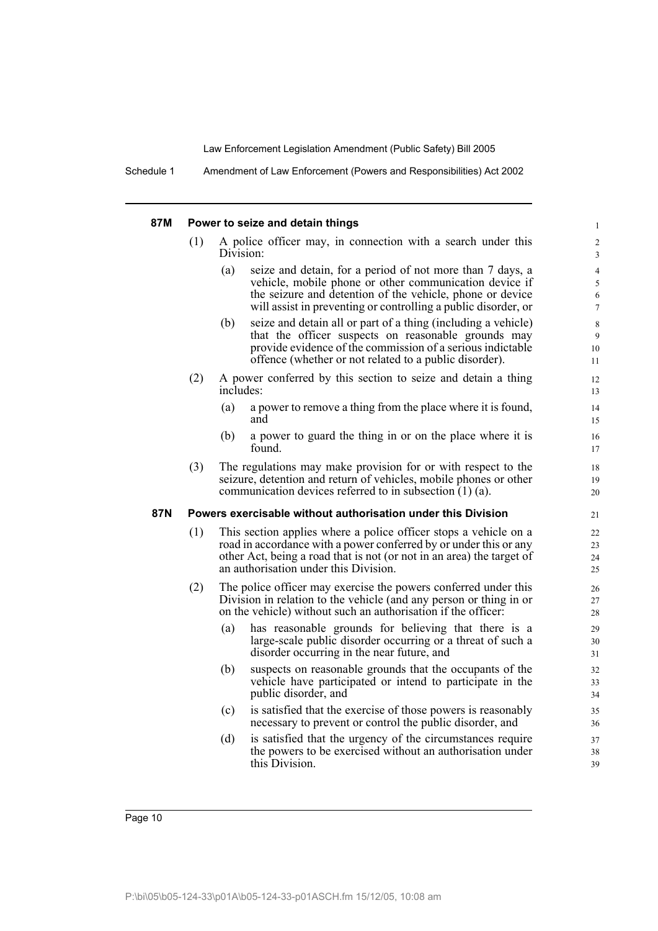Schedule 1 Amendment of Law Enforcement (Powers and Responsibilities) Act 2002

#### **87M Power to seize and detain things**

- (1) A police officer may, in connection with a search under this Division:
	- (a) seize and detain, for a period of not more than 7 days, a vehicle, mobile phone or other communication device if the seizure and detention of the vehicle, phone or device will assist in preventing or controlling a public disorder, or

- (b) seize and detain all or part of a thing (including a vehicle) that the officer suspects on reasonable grounds may provide evidence of the commission of a serious indictable offence (whether or not related to a public disorder).
- (2) A power conferred by this section to seize and detain a thing includes:
	- (a) a power to remove a thing from the place where it is found, and
	- (b) a power to guard the thing in or on the place where it is found.
- (3) The regulations may make provision for or with respect to the seizure, detention and return of vehicles, mobile phones or other communication devices referred to in subsection (1) (a).

## **87N Powers exercisable without authorisation under this Division**

- (1) This section applies where a police officer stops a vehicle on a road in accordance with a power conferred by or under this or any other Act, being a road that is not (or not in an area) the target of an authorisation under this Division.
- (2) The police officer may exercise the powers conferred under this Division in relation to the vehicle (and any person or thing in or on the vehicle) without such an authorisation if the officer:
	- (a) has reasonable grounds for believing that there is a large-scale public disorder occurring or a threat of such a disorder occurring in the near future, and
	- (b) suspects on reasonable grounds that the occupants of the vehicle have participated or intend to participate in the public disorder, and
	- (c) is satisfied that the exercise of those powers is reasonably necessary to prevent or control the public disorder, and
	- (d) is satisfied that the urgency of the circumstances require the powers to be exercised without an authorisation under this Division.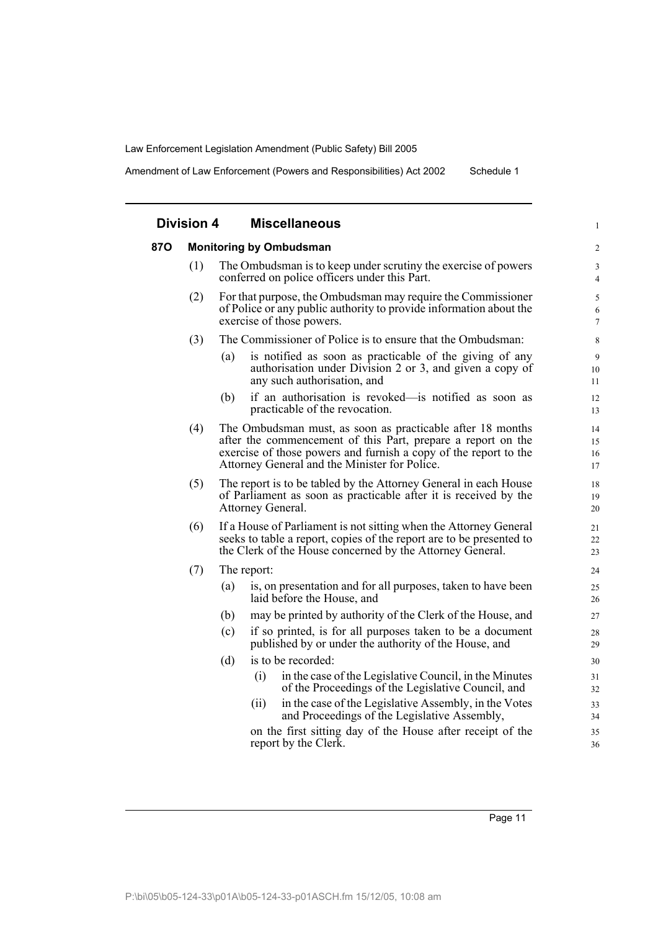Amendment of Law Enforcement (Powers and Responsibilities) Act 2002 Schedule 1

| <b>870</b> |     | <b>Monitoring by Ombudsman</b>                                                                                                                                                                                                                  |  |
|------------|-----|-------------------------------------------------------------------------------------------------------------------------------------------------------------------------------------------------------------------------------------------------|--|
|            | (1) | The Ombudsman is to keep under scrutiny the exercise of powers<br>conferred on police officers under this Part.                                                                                                                                 |  |
|            | (2) | For that purpose, the Ombudsman may require the Commissioner<br>of Police or any public authority to provide information about the<br>exercise of those powers.                                                                                 |  |
|            | (3) | The Commissioner of Police is to ensure that the Ombudsman:                                                                                                                                                                                     |  |
|            |     | is notified as soon as practicable of the giving of any<br>(a)<br>authorisation under Division 2 or 3, and given a copy of<br>any such authorisation, and                                                                                       |  |
|            |     | if an authorisation is revoked-is notified as soon as<br>(b)<br>practicable of the revocation.                                                                                                                                                  |  |
|            | (4) | The Ombudsman must, as soon as practicable after 18 months<br>after the commencement of this Part, prepare a report on the<br>exercise of those powers and furnish a copy of the report to the<br>Attorney General and the Minister for Police. |  |
|            | (5) | The report is to be tabled by the Attorney General in each House<br>of Parliament as soon as practicable after it is received by the<br>Attorney General.                                                                                       |  |
|            | (6) | If a House of Parliament is not sitting when the Attorney General<br>seeks to table a report, copies of the report are to be presented to<br>the Clerk of the House concerned by the Attorney General.                                          |  |
|            | (7) | The report:                                                                                                                                                                                                                                     |  |
|            |     | is, on presentation and for all purposes, taken to have been<br>(a)<br>laid before the House, and                                                                                                                                               |  |
|            |     | may be printed by authority of the Clerk of the House, and<br>(b)                                                                                                                                                                               |  |
|            |     | if so printed, is for all purposes taken to be a document<br>(c)<br>published by or under the authority of the House, and                                                                                                                       |  |
|            |     | (d)<br>is to be recorded:                                                                                                                                                                                                                       |  |
|            |     | (i)<br>in the case of the Legislative Council, in the Minutes<br>of the Proceedings of the Legislative Council, and                                                                                                                             |  |
|            |     | in the case of the Legislative Assembly, in the Votes<br>(ii)<br>and Proceedings of the Legislative Assembly,                                                                                                                                   |  |
|            |     | on the first sitting day of the House after receipt of the<br>report by the Clerk.                                                                                                                                                              |  |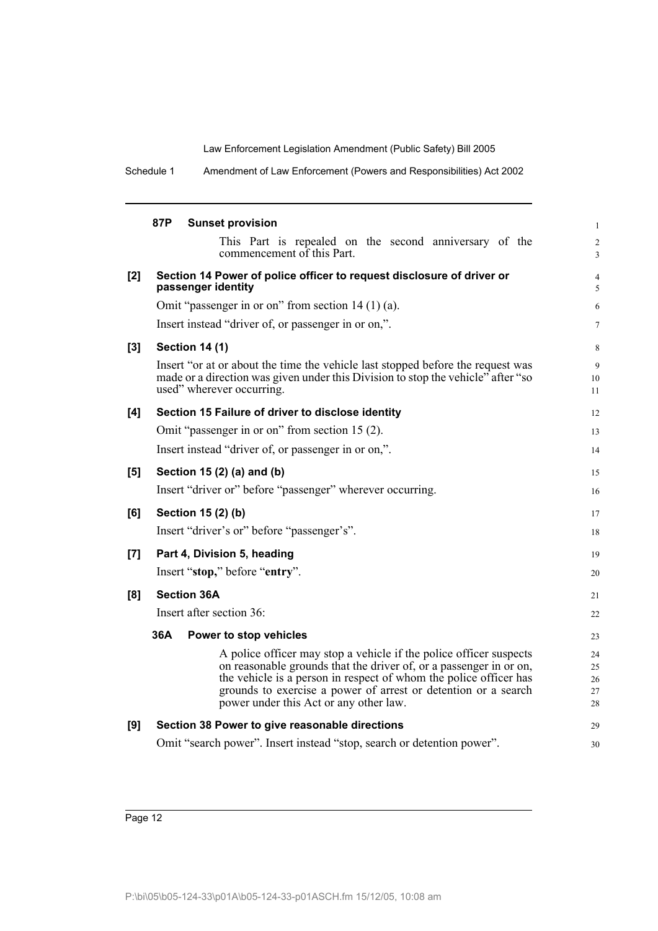Schedule 1 Amendment of Law Enforcement (Powers and Responsibilities) Act 2002

|     | 87P<br><b>Sunset provision</b>                                                                                                                                                                                                                                                                                            | $\mathbf{1}$               |
|-----|---------------------------------------------------------------------------------------------------------------------------------------------------------------------------------------------------------------------------------------------------------------------------------------------------------------------------|----------------------------|
|     | This Part is repealed on the second anniversary of the<br>commencement of this Part.                                                                                                                                                                                                                                      | $\overline{c}$<br>3        |
| [2] | Section 14 Power of police officer to request disclosure of driver or<br>passenger identity                                                                                                                                                                                                                               | 4<br>5                     |
|     | Omit "passenger in or on" from section $14(1)(a)$ .                                                                                                                                                                                                                                                                       | 6                          |
|     | Insert instead "driver of, or passenger in or on,".                                                                                                                                                                                                                                                                       | $\tau$                     |
| [3] | <b>Section 14 (1)</b>                                                                                                                                                                                                                                                                                                     | 8                          |
|     | Insert "or at or about the time the vehicle last stopped before the request was<br>made or a direction was given under this Division to stop the vehicle" after "so<br>used" wherever occurring.                                                                                                                          | 9<br>10<br>11              |
| [4] | Section 15 Failure of driver to disclose identity                                                                                                                                                                                                                                                                         | 12                         |
|     | Omit "passenger in or on" from section 15 (2).                                                                                                                                                                                                                                                                            | 13                         |
|     | Insert instead "driver of, or passenger in or on,".                                                                                                                                                                                                                                                                       | 14                         |
| [5] | Section 15 (2) (a) and (b)                                                                                                                                                                                                                                                                                                | 15                         |
|     | Insert "driver or" before "passenger" wherever occurring.                                                                                                                                                                                                                                                                 | 16                         |
| [6] | Section 15 (2) (b)                                                                                                                                                                                                                                                                                                        | 17                         |
|     | Insert "driver's or" before "passenger's".                                                                                                                                                                                                                                                                                | 18                         |
| [7] | Part 4, Division 5, heading                                                                                                                                                                                                                                                                                               | 19                         |
|     | Insert "stop," before "entry".                                                                                                                                                                                                                                                                                            | 20                         |
| [8] | <b>Section 36A</b>                                                                                                                                                                                                                                                                                                        | 21                         |
|     | Insert after section 36:                                                                                                                                                                                                                                                                                                  | 22                         |
|     | 36A<br>Power to stop vehicles                                                                                                                                                                                                                                                                                             | 23                         |
|     | A police officer may stop a vehicle if the police officer suspects<br>on reasonable grounds that the driver of, or a passenger in or on,<br>the vehicle is a person in respect of whom the police officer has<br>grounds to exercise a power of arrest or detention or a search<br>power under this Act or any other law. | 24<br>25<br>26<br>27<br>28 |
| [9] | Section 38 Power to give reasonable directions                                                                                                                                                                                                                                                                            | 29                         |
|     | Omit "search power". Insert instead "stop, search or detention power".                                                                                                                                                                                                                                                    | 30                         |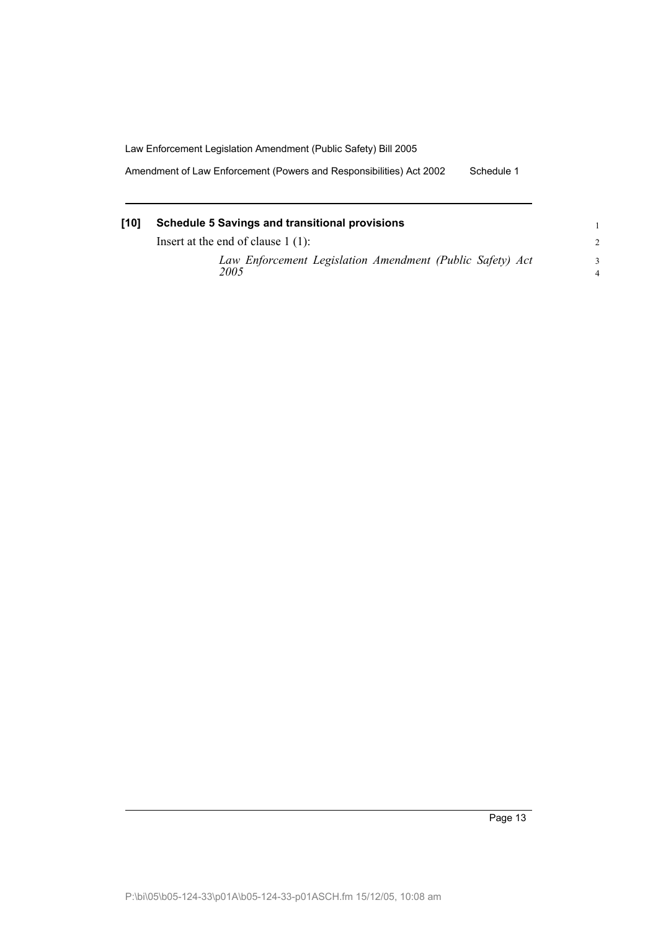Amendment of Law Enforcement (Powers and Responsibilities) Act 2002 Schedule 1

| [10] | <b>Schedule 5 Savings and transitional provisions</b>             |                |  |
|------|-------------------------------------------------------------------|----------------|--|
|      | Insert at the end of clause $1(1)$ :                              |                |  |
|      | Law Enforcement Legislation Amendment (Public Safety) Act<br>2005 | $\overline{4}$ |  |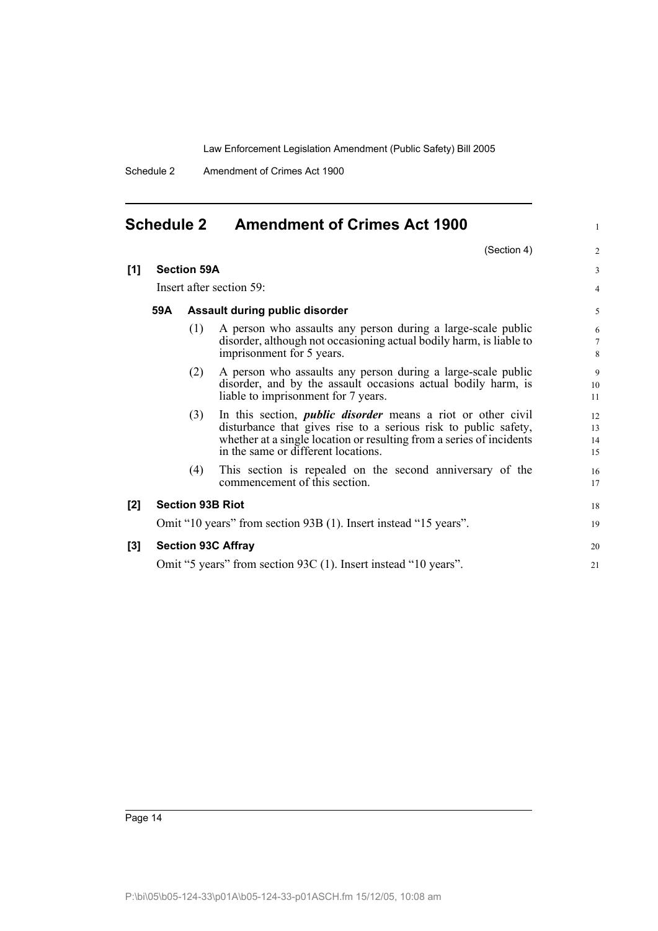1

Schedule 2 Amendment of Crimes Act 1900

| <b>Schedule 2</b> | <b>Amendment of Crimes Act 1900</b> |  |  |
|-------------------|-------------------------------------|--|--|
|-------------------|-------------------------------------|--|--|

|     |     |                    | (Section 4)                                                                                                                                                                                                                                           | $\overline{2}$                            |
|-----|-----|--------------------|-------------------------------------------------------------------------------------------------------------------------------------------------------------------------------------------------------------------------------------------------------|-------------------------------------------|
| [1] |     | <b>Section 59A</b> |                                                                                                                                                                                                                                                       | 3                                         |
|     |     |                    | Insert after section 59:                                                                                                                                                                                                                              | $\overline{4}$                            |
|     | 59A |                    | Assault during public disorder                                                                                                                                                                                                                        | 5                                         |
|     |     | (1)                | A person who assaults any person during a large-scale public<br>disorder, although not occasioning actual bodily harm, is liable to<br>imprisonment for 5 years.                                                                                      | $\sqrt{6}$<br>$\boldsymbol{7}$<br>$\,8\,$ |
|     |     | (2)                | A person who assaults any person during a large-scale public<br>disorder, and by the assault occasions actual bodily harm, is<br>liable to imprisonment for 7 years.                                                                                  | 9<br>10<br>11                             |
|     |     | (3)                | In this section, <i>public disorder</i> means a riot or other civil<br>disturbance that gives rise to a serious risk to public safety,<br>whether at a single location or resulting from a series of incidents<br>in the same or different locations. | 12<br>13<br>14<br>15                      |
|     |     | (4)                | This section is repealed on the second anniversary of the<br>commencement of this section.                                                                                                                                                            | 16<br>17                                  |
| [2] |     |                    | <b>Section 93B Riot</b>                                                                                                                                                                                                                               | 18                                        |
|     |     |                    | Omit "10 years" from section 93B (1). Insert instead "15 years".                                                                                                                                                                                      | 19                                        |
| [3] |     |                    | <b>Section 93C Affray</b>                                                                                                                                                                                                                             | 20                                        |
|     |     |                    | Omit "5 years" from section 93C (1). Insert instead "10 years".                                                                                                                                                                                       | 21                                        |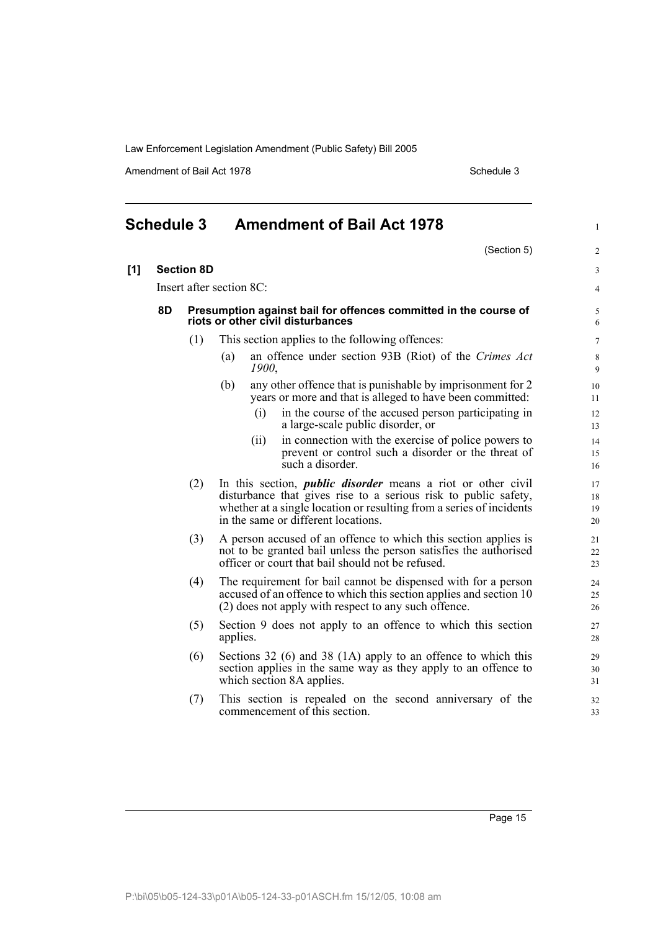Amendment of Bail Act 1978 Schedule 3

| <b>Schedule 3</b> |    |                          |          | <b>Amendment of Bail Act 1978</b>                                                                     | $\mathbf{1}$                                                                                                                                                                                                                                          |                      |
|-------------------|----|--------------------------|----------|-------------------------------------------------------------------------------------------------------|-------------------------------------------------------------------------------------------------------------------------------------------------------------------------------------------------------------------------------------------------------|----------------------|
|                   |    |                          |          |                                                                                                       | (Section 5)                                                                                                                                                                                                                                           | $\sqrt{2}$           |
| [1]               |    | <b>Section 8D</b>        |          |                                                                                                       |                                                                                                                                                                                                                                                       | 3                    |
|                   |    | Insert after section 8C: |          |                                                                                                       |                                                                                                                                                                                                                                                       | $\overline{4}$       |
|                   | 8D |                          |          | Presumption against bail for offences committed in the course of<br>riots or other civil disturbances |                                                                                                                                                                                                                                                       |                      |
|                   |    | (1)                      |          |                                                                                                       | This section applies to the following offences:                                                                                                                                                                                                       | $\boldsymbol{7}$     |
|                   |    |                          | (a)      | <i>1900,</i>                                                                                          | an offence under section 93B (Riot) of the Crimes Act                                                                                                                                                                                                 | 8<br>9               |
|                   |    |                          | (b)      |                                                                                                       | any other offence that is punishable by imprisonment for 2<br>years or more and that is alleged to have been committed:                                                                                                                               | 10<br>11             |
|                   |    |                          |          | (i)                                                                                                   | in the course of the accused person participating in<br>a large-scale public disorder, or                                                                                                                                                             | 12<br>13             |
|                   |    |                          |          | (ii)                                                                                                  | in connection with the exercise of police powers to<br>prevent or control such a disorder or the threat of<br>such a disorder.                                                                                                                        | 14<br>15<br>16       |
|                   |    | (2)                      |          |                                                                                                       | In this section, <i>public disorder</i> means a riot or other civil<br>disturbance that gives rise to a serious risk to public safety,<br>whether at a single location or resulting from a series of incidents<br>in the same or different locations. | 17<br>18<br>19<br>20 |
|                   |    | (3)                      |          |                                                                                                       | A person accused of an offence to which this section applies is<br>not to be granted bail unless the person satisfies the authorised<br>officer or court that bail should not be refused.                                                             | 21<br>22<br>23       |
|                   |    | (4)                      |          |                                                                                                       | The requirement for bail cannot be dispensed with for a person<br>accused of an offence to which this section applies and section 10<br>(2) does not apply with respect to any such offence.                                                          | 24<br>25<br>26       |
|                   |    | (5)                      | applies. |                                                                                                       | Section 9 does not apply to an offence to which this section                                                                                                                                                                                          | 27<br>28             |
|                   |    | (6)                      |          |                                                                                                       | Sections 32 $(6)$ and 38 $(1A)$ apply to an offence to which this<br>section applies in the same way as they apply to an offence to<br>which section 8A applies.                                                                                      | 29<br>30<br>31       |
|                   |    | (7)                      |          |                                                                                                       | This section is repealed on the second anniversary of the<br>commencement of this section.                                                                                                                                                            | 32<br>33             |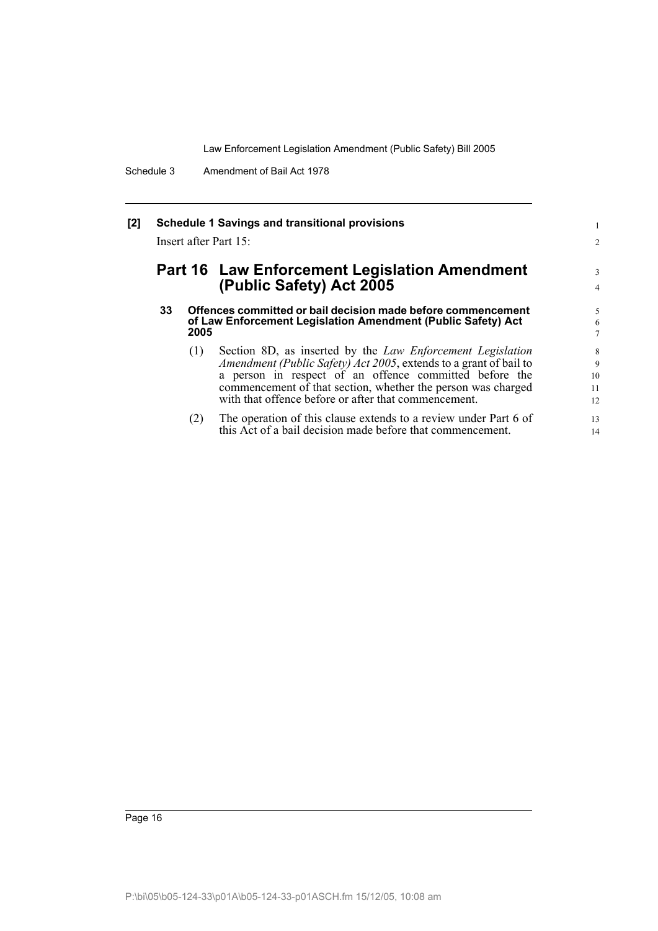1 2

3 4

Schedule 3 Amendment of Bail Act 1978

### **[2] Schedule 1 Savings and transitional provisions**

Insert after Part 15:

# **Part 16 Law Enforcement Legislation Amendment (Public Safety) Act 2005**

#### **33 Offences committed or bail decision made before commencement of Law Enforcement Legislation Amendment (Public Safety) Act 2005**

- (1) Section 8D, as inserted by the *Law Enforcement Legislation Amendment (Public Safety) Act 2005*, extends to a grant of bail to a person in respect of an offence committed before the commencement of that section, whether the person was charged with that offence before or after that commencement.
- (2) The operation of this clause extends to a review under Part 6 of this Act of a bail decision made before that commencement.